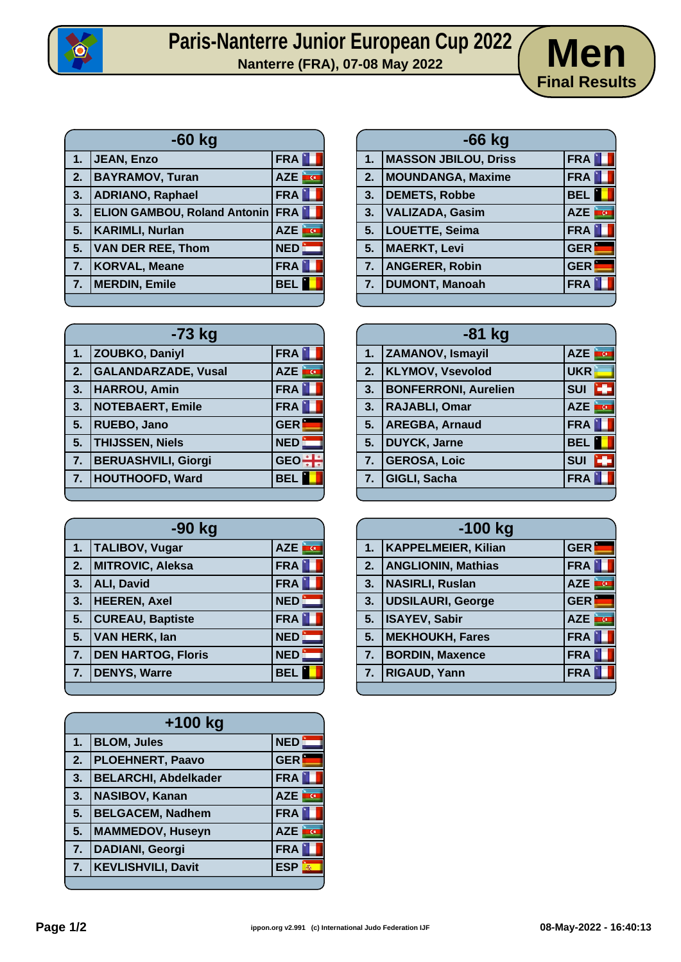

## Paris-Nanterre Junior European Cup 2022 **Men**



| $-60$ kg |                                         |                          |
|----------|-----------------------------------------|--------------------------|
| 1.       | JEAN, Enzo                              | <b>FRA</b>               |
| 2.       | <b>BAYRAMOV, Turan</b>                  | AZE <b>FOR</b>           |
| 3.       | ADRIANO, Raphael                        | <b>FRA</b>               |
| 3.       | <b>ELION GAMBOU, Roland Antonin FRA</b> |                          |
| 5.       | <b>KARIMLI, Nurlan</b>                  | <b>I</b> G<br><b>AZE</b> |
| 5.       | <b>VAN DER REE, Thom</b>                | NED                      |
| 7.       | KORVAL, Meane                           | <b>FRA</b>               |
| 7.       | <b>MERDIN, Emile</b>                    | <b>BEL</b>               |
|          |                                         |                          |

| 1. | <b>MASSON JBILOU, Driss</b> | <b>FRA</b>              |
|----|-----------------------------|-------------------------|
| 2. | MOUNDANGA, Maxime           | FRA                     |
| 3. | <b>DEMETS, Robbe</b>        | <b>BEL</b>              |
| 3. | VALIZADA, Gasim             | <b>CO</b><br><b>AZE</b> |
| 5. | LOUETTE, Seima              | FRA                     |
| 5. | <b>MAERKT, Levi</b>         | <b>GER</b>              |
| 7. | <b>ANGERER, Robin</b>       | <b>GER</b>              |
| 7. | <b>DUMONT, Manoah</b>       | <b>FRA</b>              |
|    |                             |                         |

**-66 kg**

| $-73$ kg |                            |                       |
|----------|----------------------------|-----------------------|
| 1.       | ZOUBKO, Daniyl             | <b>FRA</b>            |
| 2.       | <b>GALANDARZADE, Vusal</b> | AZE<br><b>CONTROL</b> |
| 3.       | <b>HARROU, Amin</b>        | <b>FRA</b>            |
| 3.       | <b>NOTEBAERT, Emile</b>    | <b>FRA</b>            |
| 5.       | RUEBO, Jano                | <b>GER</b>            |
| 5.       | <b>THIJSSEN, Niels</b>     | <b>NED</b>            |
| 7.       | <b>BERUASHVILI, Giorgi</b> | <b>GEO</b>            |
| 7.       | <b>HOUTHOOFD, Ward</b>     | <b>BEL</b>            |
|          |                            |                       |

| $-90$ kg |                           |               |
|----------|---------------------------|---------------|
| 1.       | <b>TALIBOV, Vugar</b>     | AZE <b>TO</b> |
| 2.       | MITROVIC, Aleksa          | <b>FRA</b>    |
| 3.       | ALI, David                | <b>FRA</b>    |
| 3.       | <b>HEEREN, Axel</b>       | <b>NED</b>    |
| 5.       | <b>CUREAU, Baptiste</b>   | <b>FRA</b>    |
| 5.       | <b>VAN HERK, lan</b>      | <b>NED</b>    |
| 7.       | <b>DEN HARTOG, Floris</b> | <b>NED</b>    |
| 7.       | <b>DENYS, Warre</b>       | <b>BEL</b>    |
|          |                           |               |

| +100 kg |                             |                          |
|---------|-----------------------------|--------------------------|
| 1.      | <b>BLOM, Jules</b>          | NED                      |
| 2.      | <b>PLOEHNERT, Paavo</b>     | <b>GER</b>               |
| 3.      | <b>BELARCHI, Abdelkader</b> | <b>FRA</b>               |
| 3.      | <b>NASIBOV, Kanan</b>       | <b>AZE</b><br><b>i</b> c |
| 5.      | <b>BELGACEM, Nadhem</b>     | <b>FRA</b>               |
| 5.      | <b>MAMMEDOV, Huseyn</b>     | <b>AZE</b><br>ince       |
| 7.      | <b>DADIANI, Georgi</b>      | <b>FRA</b>               |
| 7.      | <b>KEVLISHVILI, Davit</b>   | <b>ESP</b>               |
|         |                             |                          |

| $-81$ kg |                             |                    |
|----------|-----------------------------|--------------------|
| 1.       | <b>ZAMANOV, Ismayil</b>     | AZE<br>ing.        |
| 2.       | <b>KLYMOV, Vsevolod</b>     | <b>UKR</b>         |
| 3.       | <b>BONFERRONI, Aurelien</b> | <b>SUI</b>         |
| 3.       | <b>RAJABLI, Omar</b>        | G<br><b>AZE</b>    |
| 5.       | <b>AREGBA, Arnaud</b>       | <b>FRA</b>         |
| 5.       | <b>DUYCK, Jarne</b>         | <b>BEL</b>         |
| 7.       | <b>GEROSA, Loic</b>         | <b>SUI</b><br>sija |
| 7.       | GIGLI, Sacha                | <b>FRA</b>         |

| $-100$ kg |                            |                    |
|-----------|----------------------------|--------------------|
| 1.        | <b>KAPPELMEIER, Kilian</b> | <b>GER</b>         |
|           | 2. ANGLIONIN, Mathias      | <b>FRA</b>         |
| 3.        | <b>NASIRLI, Ruslan</b>     | AZE<br><u>i a</u>  |
| 3.        | <b>UDSILAURI, George</b>   | <b>GER</b>         |
| 5.        | <b>ISAYEV, Sabir</b>       | inci<br><b>AZE</b> |
| 5.        | MEKHOUKH, Fares            | <b>FRA</b>         |
| 7.        | <b>BORDIN, Maxence</b>     | <b>FRA</b>         |
| 7.        | <b>RIGAUD, Yann</b>        | <b>FRA</b>         |
|           |                            |                    |